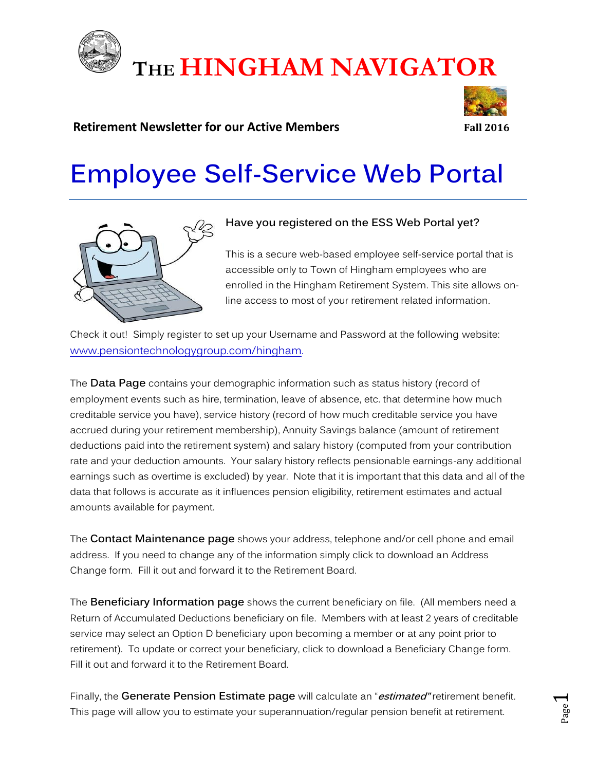

# **THE HINGHAM NAVIGATOR**

# **Retirement Newsletter for our Active Members Fall 2016**

# **Employee Self-Service Web Portal**



# **Have you registered on the ESS Web Portal yet?**

This is a secure web-based employee self-service portal that is accessible only to Town of Hingham employees who are enrolled in the Hingham Retirement System. This site allows online access to most of your retirement related information.

Check it out! Simply register to set up your Username and Password at the following website: [www.pensiontechnologygroup.com/hingham.](http://www.pensiontechnologygroup.com/hingham)

The **Data Page** contains your demographic information such as status history (record of employment events such as hire, termination, leave of absence, etc. that determine how much creditable service you have), service history (record of how much creditable service you have accrued during your retirement membership), Annuity Savings balance (amount of retirement deductions paid into the retirement system) and salary history (computed from your contribution rate and your deduction amounts. Your salary history reflects pensionable earnings-any additional earnings such as overtime is excluded) by year. Note that it is important that this data and all of the data that follows is accurate as it influences pension eligibility, retirement estimates and actual amounts available for payment.

The **Contact Maintenance page** shows your address, telephone and/or cell phone and email address. If you need to change any of the information simply click to download an Address Change form. Fill it out and forward it to the Retirement Board.

The **Beneficiary Information page** shows the current beneficiary on file. (All members need a Return of Accumulated Deductions beneficiary on file. Members with at least 2 years of creditable service may select an Option D beneficiary upon becoming a member or at any point prior to retirement). To update or correct your beneficiary, click to download a Beneficiary Change form. Fill it out and forward it to the Retirement Board.

Finally, the **Generate Pension Estimate page** will calculate an "**estimated"** retirement benefit. This page will allow you to estimate your superannuation/regular pension benefit at retirement.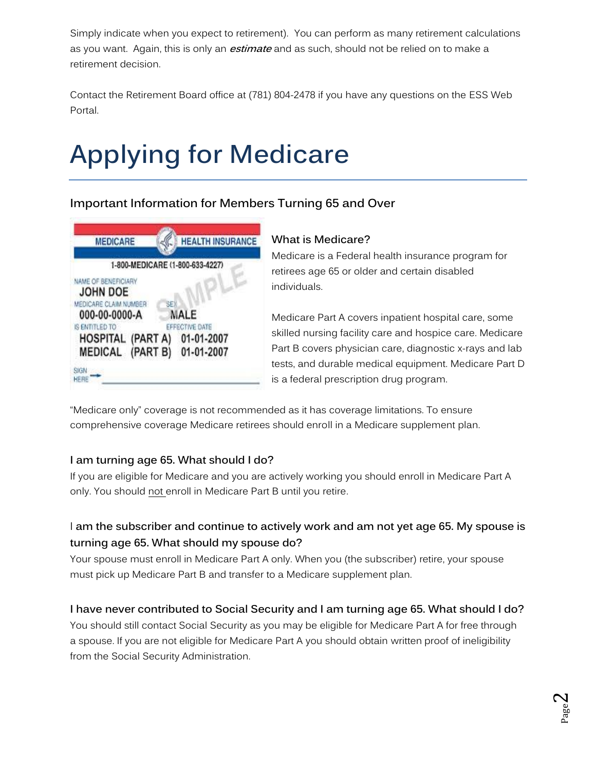Simply indicate when you expect to retirement). You can perform as many retirement calculations as you want. Again, this is only an **estimate** and as such, should not be relied on to make a retirement decision.

Contact the Retirement Board office at (781) 804-2478 if you have any questions on the ESS Web Portal.

# **Applying for Medicare**

# **Important Information for Members Turning 65 and Over**

| <b>MEDICARE</b>                                                                         | <b>HEALTH INSURANCE</b>                    |
|-----------------------------------------------------------------------------------------|--------------------------------------------|
| 1-800-MEDICARE (1-800-633-4227)                                                         |                                            |
| NAME OF BENEFICIARY<br><b>JOHN DOE</b><br>MEDICARE CLAIM NUMBER<br>SEX<br>000-00-0000-A | MALE                                       |
| IS ENTITLED TO<br><b>HOSPITAL (PART A)</b><br><b>MEDICAL (PART B)</b>                   | EFFECTIVE DATE<br>01-01-2007<br>01-01-2007 |
| SIGN<br>HERE                                                                            |                                            |

#### **What is Medicare?**

Medicare is a Federal health insurance program for retirees age 65 or older and certain disabled individuals.

Medicare Part A covers inpatient hospital care, some skilled nursing facility care and hospice care. Medicare Part B covers physician care, diagnostic x-rays and lab tests, and durable medical equipment. Medicare Part D is a federal prescription drug program.

"Medicare only" coverage is not recommended as it has coverage limitations. To ensure comprehensive coverage Medicare retirees should enroll in a Medicare supplement plan.

# **I am turning age 65. What should I do?**

If you are eligible for Medicare and you are actively working you should enroll in Medicare Part A only. You should not enroll in Medicare Part B until you retire.

# I **am the subscriber and continue to actively work and am not yet age 65. My spouse is turning age 65. What should my spouse do?**

Your spouse must enroll in Medicare Part A only. When you (the subscriber) retire, your spouse must pick up Medicare Part B and transfer to a Medicare supplement plan.

# **I have never contributed to Social Security and I am turning age 65. What should I do?**

You should still contact Social Security as you may be eligible for Medicare Part A for free through a spouse. If you are not eligible for Medicare Part A you should obtain written proof of ineligibility from the Social Security Administration.